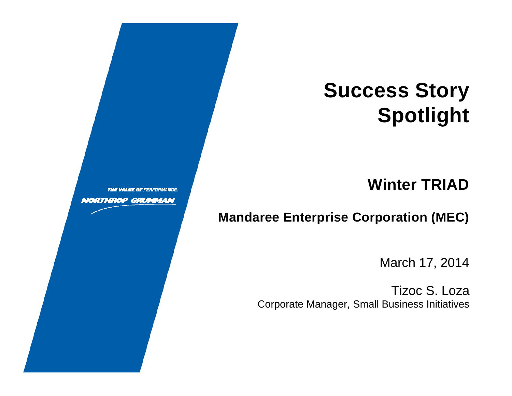# **Success Story** Spotlight

#### **Winter TRIAD**

#### **Mandaree Enterprise Corporation (MEC)**

March 17, 2014

**Tizoc S. Loza Corporate Manager, Small Business Initiatives** 

**THE VALUE OF PERFORMANCE** 

**NORTHROP GRUMMAN**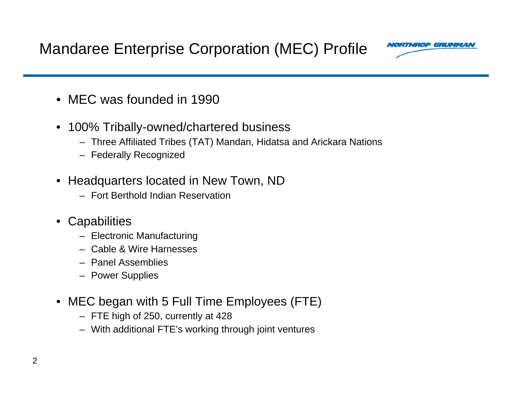Mandaree Enterprise Corporation (MEC) Profile



- MEC was founded in 1990
- $\bullet$  100% Tribally-owned/chartered business
	- Three Affiliated Tribes (TAT) Mandan, Hidatsa and Arickara Nations
	- Federally Recognized
- Headquarters located in New Town, ND
	- Fort Berthold Indian Reservation
- Capabilities
	- Electronic Manufacturing
	- Cable & Wire Harnesses
	- Panel Assemblies
	- Power Supplies
- MEC began with 5 Full Time Employees (FTE)
	- FTE high of 250, currently at 428
	- With additional FTE's working through joint ventures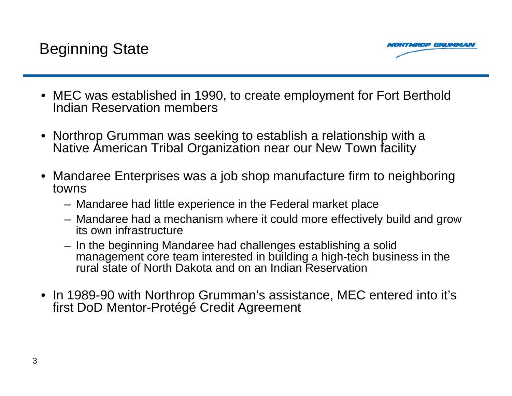

- MEC was established in 1990, to create employment for Fort Berthold Indian Reservation members
- Northrop Grumman was seeking to establish a relationship with a Native American Tribal Organization near our New Town facility
- $\bullet\,$  Mandaree Enterprises was a job shop manufacture firm to neighboring  $\,$ towns
	- Mandaree had little experience in the Federal market place
	- Mandaree had a mechanism where it could more effectively build and grow its own infrastructure
	- In the beginning Mandaree had challenges establishing a solid management core team interested in building a high-tech business in the rural state of North Dakota and on an Indian Reservation
- In 1989-90 with Northrop Grumman's assistance, MEC entered into it's first DoD Mentor-Protégé Credit Agreement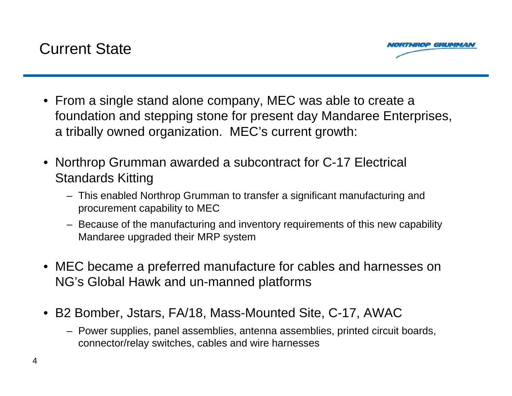

- From a single stand alone company, MEC was able to create a foundation and stepping stone for present day Mandaree Enterprises, a tribally owned organization. MEC's current growth:
- Northrop Grumman awarded a subcontract for C-17 Electrical Standards Kitting
	- This enabled Northrop Grumman to transfer a significant manufacturing and procurement capability to MEC
	- Because of the manufacturing and inventory requirements of this new capability Mandaree upgraded their MRP system
- MEC became a preferred manufacture for cables and harnesses on NG's Global Hawk and un-manned platforms
- B2 Bomber, Jstars, FA/18, Mass-Mounted Site, C-17, AWAC
	- Power supplies, panel assemblies, antenna assemblies, printed circuit boards, connector/relay switches, cables and wire harnesses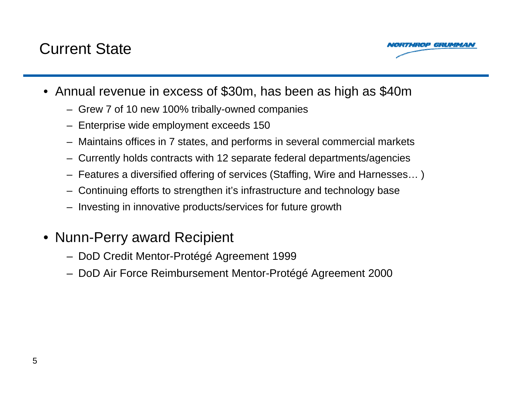#### Current State



- Annual revenue in excess of \$30m, has been as high as \$40m
	- Grew 7 of 10 new 100% tribally-owned companies
	- Enterprise wide employment exceeds 150
	- Maintains offices in 7 states, and performs in several commercial markets
	- Currently holds contracts with 12 separate federal departments/agencies
	- Features a diversified offering of services (Staffing, Wire and Harnesses… )
	- Continuing efforts to strengthen it's infrastructure and technology base
	- Investing in innovative products/services for future growth
- Nunn-Perry award Recipient
	- DoD Credit Mentor-Protégé Agreement 1999
	- DoD Air Force Reimbursement Mentor-Protégé Agreement 2000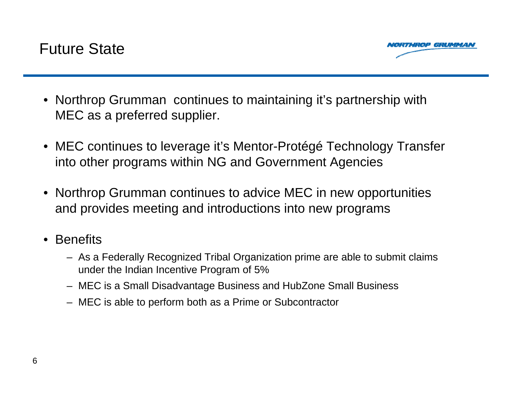

- Northrop Grumman continues to maintaining it's partnership with MEC as a preferred supplier.
- MEC continues to leverage it's Mentor-Protégé Technology Transfer into other programs within NG and Government Agencies
- Northrop Grumman continues to advice MEC in new opportunities and provides meeting and introductions into new programs
- Benefits
	- As a Federally Recognized Tribal Organization prime are able to submit claims under the Indian Incentive Program of 5%
	- MEC is a Small Disadvantage Business and HubZone Small Business
	- MEC is able to perform both as a Prime or Subcontractor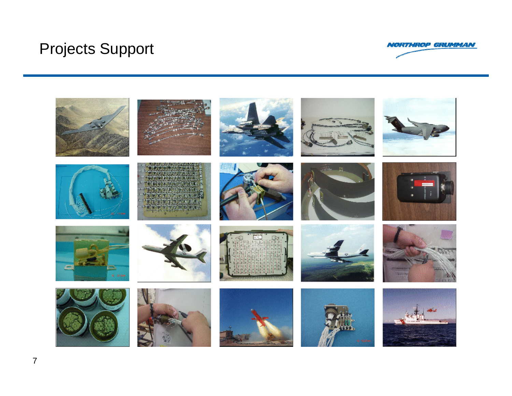### Projects Support



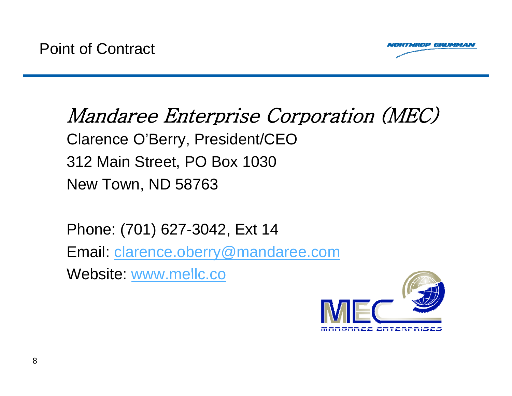

## Mandaree Enterprise Corporation (MEC) Clarence O'Berry, President/CEO 312 Main Street, PO Box 1030 New Town, ND 58763

Phone: (701) 627-3042, Ext 14

Email: clarence.oberry@mandaree.com

Website: www.mellc.co